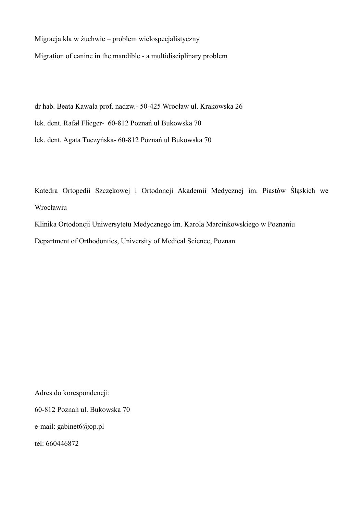Migracja kła w żuchwie – problem wielospecjalistyczny

Migration of canine in the mandible - a multidisciplinary problem

dr hab. Beata Kawala prof. nadzw.- 50-425 Wrocław ul. Krakowska 26

lek. dent. Rafał Flieger- 60-812 Poznań ul Bukowska 70

lek. dent. Agata Tuczyńska- 60-812 Poznań ul Bukowska 70

Katedra Ortopedii Szczękowej i Ortodoncji Akademii Medycznej im. Piastów Śląskich we Wrocławiu

Klinika Ortodoncji Uniwersytetu Medycznego im. Karola Marcinkowskiego w Poznaniu

Department of Orthodontics, University of Medical Science, Poznan

Adres do korespondencji:

60-812 Poznań ul. Bukowska 70

e-mail: gabinet6@op.pl

tel: 660446872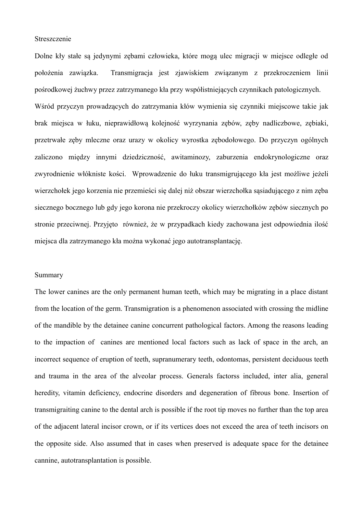## Streszczenie

Dolne kły stałe są jedynymi zębami człowieka, które mogą ulec migracji w miejsce odległe od położenia zawiązka. Transmigracja jest zjawiskiem związanym z przekroczeniem linii pośrodkowej żuchwy przez zatrzymanego kła przy współistniejących czynnikach patologicznych. Wśród przyczyn prowadzących do zatrzymania kłów wymienia się czynniki miejscowe takie jak brak miejsca w łuku, nieprawidłową kolejność wyrzynania zębów, zęby nadliczbowe, zębiaki, przetrwałe zęby mleczne oraz urazy w okolicy wyrostka zębodołowego. Do przyczyn ogólnych zaliczono między innymi dziedziczność, awitaminozy, zaburzenia endokrynologiczne oraz zwyrodnienie włókniste kości. Wprowadzenie do łuku transmigrującego kła jest możliwe jeżeli wierzchołek jego korzenia nie przemieści się dalej niż obszar wierzchołka sąsiadującego z nim zęba

siecznego bocznego lub gdy jego korona nie przekroczy okolicy wierzchołków zębów siecznych po stronie przeciwnej. Przyjęto również, że w przypadkach kiedy zachowana jest odpowiednia ilość miejsca dla zatrzymanego kła można wykonać jego autotransplantację.

## Summary

The lower canines are the only permanent human teeth, which may be migrating in a place distant from the location of the germ. Transmigration is a phenomenon associated with crossing the midline of the mandible by the detainee canine concurrent pathological factors. Among the reasons leading to the impaction of canines are mentioned local factors such as lack of space in the arch, an incorrect sequence of eruption of teeth, supranumerary teeth, odontomas, persistent deciduous teeth and trauma in the area of the alveolar process. Generals factorss included, inter alia, general heredity, vitamin deficiency, endocrine disorders and degeneration of fibrous bone. Insertion of transmigraiting canine to the dental arch is possible if the root tip moves no further than the top area of the adjacent lateral incisor crown, or if its vertices does not exceed the area of teeth incisors on the opposite side. Also assumed that in cases when preserved is adequate space for the detainee cannine, autotransplantation is possible.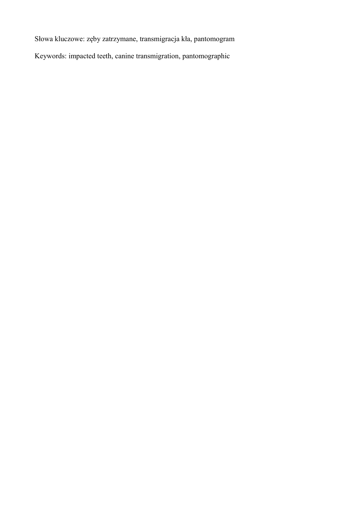Słowa kluczowe: zęby zatrzymane, transmigracja kła, pantomogram

Keywords: impacted teeth, canine transmigration, pantomographic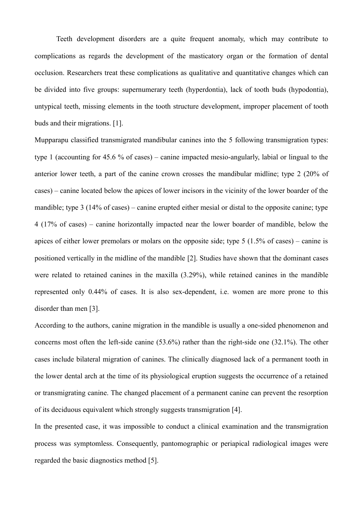Teeth development disorders are a quite frequent anomaly, which may contribute to complications as regards the development of the masticatory organ or the formation of dental occlusion. Researchers treat these complications as qualitative and quantitative changes which can be divided into five groups: supernumerary teeth (hyperdontia), lack of tooth buds (hypodontia), untypical teeth, missing elements in the tooth structure development, improper placement of tooth buds and their migrations. [1].

Mupparapu classified transmigrated mandibular canines into the 5 following transmigration types: type 1 (accounting for 45.6 % of cases) – canine impacted mesio-angularly, labial or lingual to the anterior lower teeth, a part of the canine crown crosses the mandibular midline; type 2 (20% of cases) – canine located below the apices of lower incisors in the vicinity of the lower boarder of the mandible; type 3 (14% of cases) – canine erupted either mesial or distal to the opposite canine; type 4 (17% of cases) – canine horizontally impacted near the lower boarder of mandible, below the apices of either lower premolars or molars on the opposite side; type 5 (1.5% of cases) – canine is positioned vertically in the midline of the mandible [2]. Studies have shown that the dominant cases were related to retained canines in the maxilla (3.29%), while retained canines in the mandible represented only 0.44% of cases. It is also sex-dependent, i.e. women are more prone to this disorder than men [3].

According to the authors, canine migration in the mandible is usually a one-sided phenomenon and concerns most often the left-side canine (53.6%) rather than the right-side one (32.1%). The other cases include bilateral migration of canines. The clinically diagnosed lack of a permanent tooth in the lower dental arch at the time of its physiological eruption suggests the occurrence of a retained or transmigrating canine. The changed placement of a permanent canine can prevent the resorption of its deciduous equivalent which strongly suggests transmigration [4].

In the presented case, it was impossible to conduct a clinical examination and the transmigration process was symptomless. Consequently, pantomographic or periapical radiological images were regarded the basic diagnostics method [5].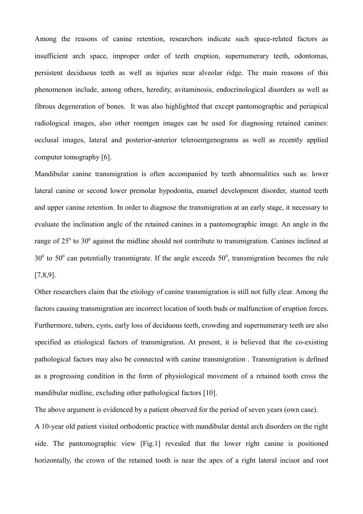Among the reasons of canine retention, researchers indicate such space-related factors as insufficient arch space, improper order of teeth eruption, supernumerary teeth, odontomas, persistent deciduous teeth as well as injuries near alveolar ridge. The main reasons of this phenomenon include, among others, heredity, avitaminosis, endocrinological disorders as well as fibrous degeneration of bones. It was also highlighted that except pantomographic and periapical radiological images, also other roentgen images can be used for diagnosing retained canines: occlusal images, lateral and posterior-anterior teleroentgenograms as well as recently applied computer tomography [6].

Mandibular canine transmigration is often accompanied by teeth abnormalities such as: lower lateral canine or second lower premolar hypodontia, enamel development disorder, stunted teeth and upper canine retention. In order to diagnose the transmigration at an early stage, it necessary to evaluate the inclination angle of the retained canines in a pantomographic image. An angle in the range of  $25^{\circ}$  to  $30^{\circ}$  against the midline should not contribute to transmigration. Canines inclined at  $30^{\circ}$  to  $50^{\circ}$  can potentially transmigrate. If the angle exceeds  $50^{\circ}$ , transmigration becomes the rule [7,8,9].

Other researchers claim that the etiology of canine transmigration is still not fully clear. Among the factors causing transmigration are incorrect location of tooth buds or malfunction of eruption forces. Furthermore, tubers, cysts, early loss of deciduous teeth, crowding and supernumerary teeth are also specified as etiological factors of transmigration. At present, it is believed that the co-existing pathological factors may also be connected with canine transmigration . Transmigration is defined as a progressing condition in the form of physiological movement of a retained tooth cross the mandibular midline, excluding other pathological factors [10].

The above argument is evidenced by a patient observed for the period of seven years (own case).

A 10-year old patient visited orthodontic practice with mandibular dental arch disorders on the right side. The pantomographic view [Fig.1] revealed that the lower right canine is positioned horizontally, the crown of the retained tooth is near the apex of a right lateral incisor and root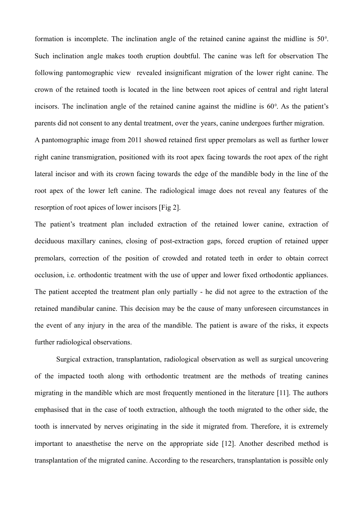formation is incomplete. The inclination angle of the retained canine against the midline is  $50^\circ$ . Such inclination angle makes tooth eruption doubtful. The canine was left for observation The following pantomographic view revealed insignificant migration of the lower right canine. The crown of the retained tooth is located in the line between root apices of central and right lateral incisors. The inclination angle of the retained canine against the midline is  $60^\circ$ . As the patient's parents did not consent to any dental treatment, over the years, canine undergoes further migration. A pantomographic image from 2011 showed retained first upper premolars as well as further lower right canine transmigration, positioned with its root apex facing towards the root apex of the right lateral incisor and with its crown facing towards the edge of the mandible body in the line of the root apex of the lower left canine. The radiological image does not reveal any features of the resorption of root apices of lower incisors [Fig 2].

The patient's treatment plan included extraction of the retained lower canine, extraction of deciduous maxillary canines, closing of post-extraction gaps, forced eruption of retained upper premolars, correction of the position of crowded and rotated teeth in order to obtain correct occlusion, i.e. orthodontic treatment with the use of upper and lower fixed orthodontic appliances. The patient accepted the treatment plan only partially - he did not agree to the extraction of the retained mandibular canine. This decision may be the cause of many unforeseen circumstances in the event of any injury in the area of the mandible. The patient is aware of the risks, it expects further radiological observations.

Surgical extraction, transplantation, radiological observation as well as surgical uncovering of the impacted tooth along with orthodontic treatment are the methods of treating canines migrating in the mandible which are most frequently mentioned in the literature [11]. The authors emphasised that in the case of tooth extraction, although the tooth migrated to the other side, the tooth is innervated by nerves originating in the side it migrated from. Therefore, it is extremely important to anaesthetise the nerve on the appropriate side [12]. Another described method is transplantation of the migrated canine. According to the researchers, transplantation is possible only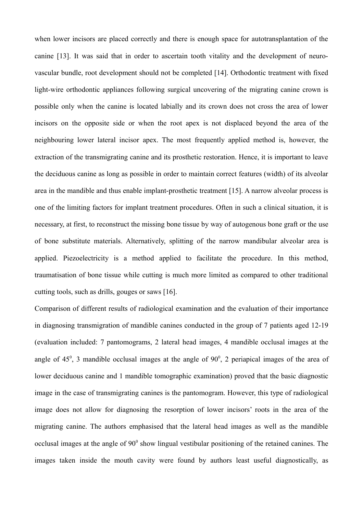when lower incisors are placed correctly and there is enough space for autotransplantation of the canine [13]. It was said that in order to ascertain tooth vitality and the development of neurovascular bundle, root development should not be completed [14]. Orthodontic treatment with fixed light-wire orthodontic appliances following surgical uncovering of the migrating canine crown is possible only when the canine is located labially and its crown does not cross the area of lower incisors on the opposite side or when the root apex is not displaced beyond the area of the neighbouring lower lateral incisor apex. The most frequently applied method is, however, the extraction of the transmigrating canine and its prosthetic restoration. Hence, it is important to leave the deciduous canine as long as possible in order to maintain correct features (width) of its alveolar area in the mandible and thus enable implant-prosthetic treatment [15]. A narrow alveolar process is one of the limiting factors for implant treatment procedures. Often in such a clinical situation, it is necessary, at first, to reconstruct the missing bone tissue by way of autogenous bone graft or the use of bone substitute materials. Alternatively, splitting of the narrow mandibular alveolar area is applied. Piezoelectricity is a method applied to facilitate the procedure. In this method, traumatisation of bone tissue while cutting is much more limited as compared to other traditional cutting tools, such as drills, gouges or saws [16].

Comparison of different results of radiological examination and the evaluation of their importance in diagnosing transmigration of mandible canines conducted in the group of 7 patients aged 12-19 (evaluation included: 7 pantomograms, 2 lateral head images, 4 mandible occlusal images at the angle of  $45^\circ$ , 3 mandible occlusal images at the angle of  $90^\circ$ , 2 periapical images of the area of lower deciduous canine and 1 mandible tomographic examination) proved that the basic diagnostic image in the case of transmigrating canines is the pantomogram. However, this type of radiological image does not allow for diagnosing the resorption of lower incisors' roots in the area of the migrating canine. The authors emphasised that the lateral head images as well as the mandible occlusal images at the angle of 90<sup>°</sup> show lingual vestibular positioning of the retained canines. The images taken inside the mouth cavity were found by authors least useful diagnostically, as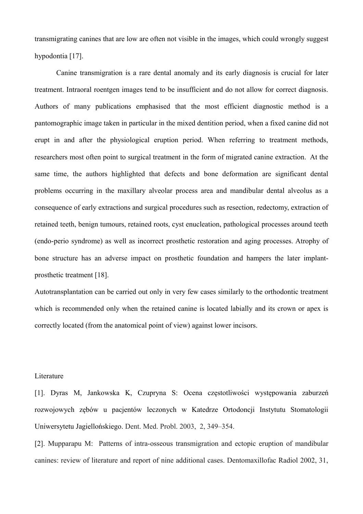transmigrating canines that are low are often not visible in the images, which could wrongly suggest hypodontia [17].

Canine transmigration is a rare dental anomaly and its early diagnosis is crucial for later treatment. Intraoral roentgen images tend to be insufficient and do not allow for correct diagnosis. Authors of many publications emphasised that the most efficient diagnostic method is a pantomographic image taken in particular in the mixed dentition period, when a fixed canine did not erupt in and after the physiological eruption period. When referring to treatment methods, researchers most often point to surgical treatment in the form of migrated canine extraction. At the same time, the authors highlighted that defects and bone deformation are significant dental problems occurring in the maxillary alveolar process area and mandibular dental alveolus as a consequence of early extractions and surgical procedures such as resection, redectomy, extraction of retained teeth, benign tumours, retained roots, cyst enucleation, pathological processes around teeth (endo-perio syndrome) as well as incorrect prosthetic restoration and aging processes. Atrophy of bone structure has an adverse impact on prosthetic foundation and hampers the later implantprosthetic treatment [18].

Autotransplantation can be carried out only in very few cases similarly to the orthodontic treatment which is recommended only when the retained canine is located labially and its crown or apex is correctly located (from the anatomical point of view) against lower incisors.

## Literature

[1]. Dyras M, Jankowska K, Czupryna S: Ocena częstotliwości występowania zaburzeń rozwojowych zębów u pacjentów leczonych w Katedrze Ortodoncji Instytutu Stomatologii Uniwersytetu Jagiellońskiego. Dent. Med. Probl. 2003, 2, 349–354.

[2]. Mupparapu M: Patterns of intra-osseous transmigration and ectopic eruption of mandibular canines: review of literature and report of nine additional cases. Dentomaxillofac Radiol 2002, 31,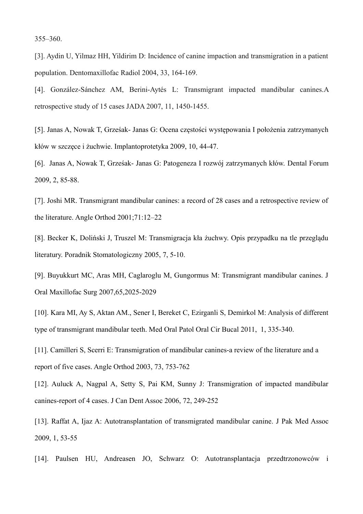355–360.

[3]. Aydin U, Yilmaz HH, Yildirim D: Incidence of canine impaction and transmigration in a patient population. Dentomaxillofac Radiol 2004, 33, 164-169.

[4]. González-Sánchez AM, Berini-Aytés L: Transmigrant impacted mandibular canines.A retrospective study of 15 cases JADA 2007, 11, 1450-1455.

[5]. Janas A, Nowak T, Grześak- Janas G: Ocena częstości występowania I położenia zatrzymanych kłów w szczęce i żuchwie. Implantoprotetyka 2009, 10, 44-47.

[6]. Janas A, Nowak T, Grześak- Janas G: Patogeneza I rozwój zatrzymanych kłów. Dental Forum 2009, 2, 85-88.

[7]. Joshi MR. Transmigrant mandibular canines: a record of 28 cases and a retrospective review of the literature. Angle Orthod 2001;71:12–22

[8]. Becker K, Doliński J, Truszel M: Transmigracja kła żuchwy. Opis przypadku na tle przeglądu literatury. Poradnik Stomatologiczny 2005, 7, 5-10.

[9]. Buyukkurt MC, Aras MH, Caglaroglu M, Gungormus M: Transmigrant mandibular canines. J Oral Maxillofac Surg 2007,65,2025-2029

[10]. Kara MI, Ay S, Aktan AM., Sener I, Bereket C, Ezirganli S, Demirkol M: Analysis of different type of transmigrant mandibular teeth. Med Oral Patol Oral Cir Bucal 2011, 1, 335-340.

[11]. Camilleri S, Scerri E: Transmigration of mandibular canines-a review of the literature and a report of five cases. Angle Orthod 2003, 73, 753-762

[12]. Auluck A, Nagpal A, Setty S, Pai KM, Sunny J: Transmigration of impacted mandibular canines-report of 4 cases. J Can Dent Assoc 2006, 72, 249-252

[13]. Raffat A, Ijaz A: Autotransplantation of transmigrated mandibular canine. J Pak Med Assoc 2009, 1, 53-55

[14]. Paulsen HU, Andreasen JO, Schwarz O: Autotransplantacja przedtrzonowców i